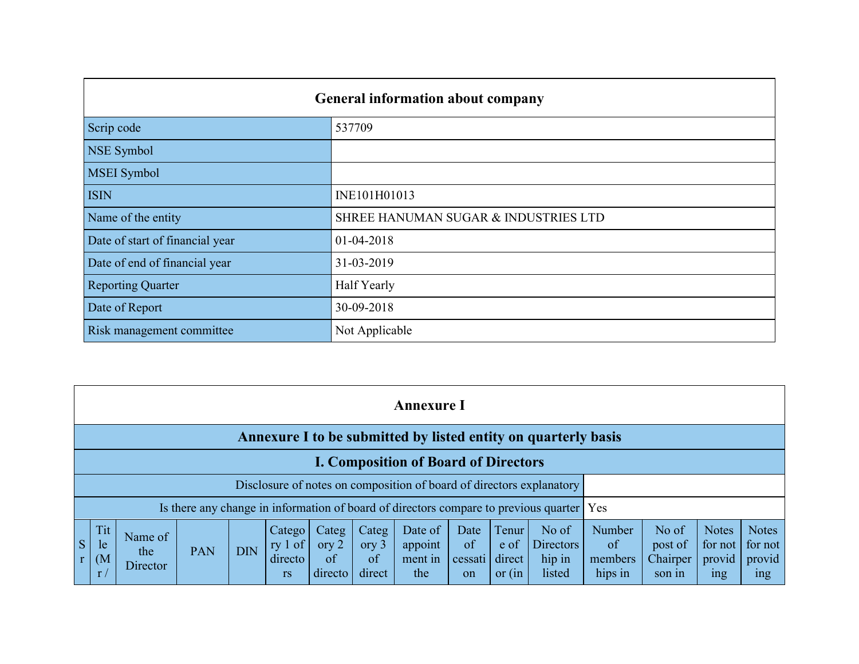|                                 | <b>General information about company</b> |
|---------------------------------|------------------------------------------|
| Scrip code                      | 537709                                   |
| NSE Symbol                      |                                          |
| <b>MSEI</b> Symbol              |                                          |
| <b>ISIN</b>                     | INE101H01013                             |
| Name of the entity              | SHREE HANUMAN SUGAR & INDUSTRIES LTD     |
| Date of start of financial year | 01-04-2018                               |
| Date of end of financial year   | 31-03-2019                               |
| <b>Reporting Quarter</b>        | Half Yearly                              |
| Date of Report                  | 30-09-2018                               |
| Risk management committee       | Not Applicable                           |

|    | <b>Annexure I</b>                                                    |                            |            |            |                                             |                                   |                                |                                      |                             |                                     |                                                                                          |                                           |                                        |                                                      |                                                      |
|----|----------------------------------------------------------------------|----------------------------|------------|------------|---------------------------------------------|-----------------------------------|--------------------------------|--------------------------------------|-----------------------------|-------------------------------------|------------------------------------------------------------------------------------------|-------------------------------------------|----------------------------------------|------------------------------------------------------|------------------------------------------------------|
|    | Annexure I to be submitted by listed entity on quarterly basis       |                            |            |            |                                             |                                   |                                |                                      |                             |                                     |                                                                                          |                                           |                                        |                                                      |                                                      |
|    | <b>I. Composition of Board of Directors</b>                          |                            |            |            |                                             |                                   |                                |                                      |                             |                                     |                                                                                          |                                           |                                        |                                                      |                                                      |
|    | Disclosure of notes on composition of board of directors explanatory |                            |            |            |                                             |                                   |                                |                                      |                             |                                     |                                                                                          |                                           |                                        |                                                      |                                                      |
|    |                                                                      |                            |            |            |                                             |                                   |                                |                                      |                             |                                     | Is there any change in information of board of directors compare to previous quarter Yes |                                           |                                        |                                                      |                                                      |
| S. | Tit<br>le<br>(M <sup>2</sup> )<br>r/                                 | Name of<br>the<br>Director | <b>PAN</b> | <b>DIN</b> | Catego<br>ry $1$ of<br>directo<br><b>rs</b> | Categ<br>ory $2$<br>of<br>directo | Categ<br>ory 3<br>of<br>direct | Date of<br>appoint<br>ment in<br>the | Date<br>of<br>cessati<br>on | Tenur<br>e of<br>direct<br>or $(in$ | No of<br><b>Directors</b><br>hip in<br>listed                                            | <b>Number</b><br>of<br>members<br>hips in | No of<br>post of<br>Chairper<br>son in | <b>Notes</b><br>for not<br>provid<br><sub>1</sub> ng | <b>Notes</b><br>for not<br>provid<br><sub>1</sub> ng |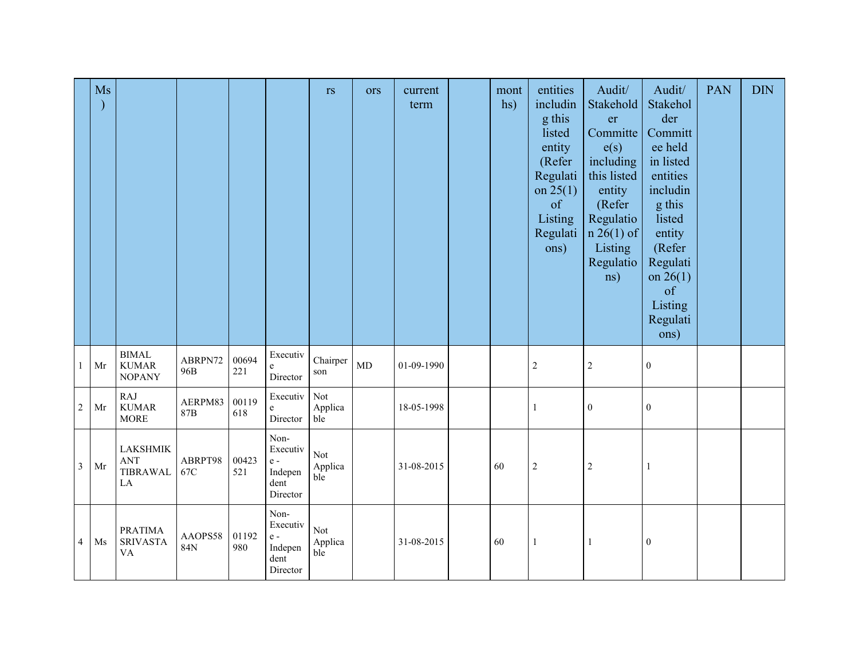|                | Ms |                                                              |                |              |                                                              | rs                           | ors | current<br>term | mont<br>hs) | entities<br>includin<br>g this<br>listed<br>entity<br>(Refer<br>Regulati<br>on $25(1)$<br>of<br>Listing<br>Regulati<br>ons) | Audit/<br>Stakehold<br>er<br>Committe<br>e(s)<br>including<br>this listed<br>entity<br>(Refer<br>Regulatio<br>$n 26(1)$ of<br>Listing<br>Regulatio<br>ns) | Audit/<br>Stakehol<br>der<br>Committ<br>ee held<br>in listed<br>entities<br>includin<br>g this<br>listed<br>entity<br>(Refer<br>Regulati<br>on $26(1)$<br>of<br>Listing<br>Regulati<br>ons) | <b>PAN</b> | <b>DIN</b> |
|----------------|----|--------------------------------------------------------------|----------------|--------------|--------------------------------------------------------------|------------------------------|-----|-----------------|-------------|-----------------------------------------------------------------------------------------------------------------------------|-----------------------------------------------------------------------------------------------------------------------------------------------------------|---------------------------------------------------------------------------------------------------------------------------------------------------------------------------------------------|------------|------------|
| $\mathbf{1}$   | Mr | <b>BIMAL</b><br><b>KUMAR</b><br><b>NOPANY</b>                | ABRPN72<br>96B | 00694<br>221 | Executiv<br>e<br>Director                                    | Chairper<br>son              | MD  | 01-09-1990      |             | $\sqrt{2}$                                                                                                                  | $\sqrt{2}$                                                                                                                                                | $\boldsymbol{0}$                                                                                                                                                                            |            |            |
| $\sqrt{2}$     | Mr | <b>RAJ</b><br><b>KUMAR</b><br><b>MORE</b>                    | AERPM83<br>87B | 00119<br>618 | Executiv<br>e<br>Director                                    | Not<br>Applica<br>ble        |     | 18-05-1998      |             | 1                                                                                                                           | $\boldsymbol{0}$                                                                                                                                          | $\boldsymbol{0}$                                                                                                                                                                            |            |            |
| $\mathfrak{Z}$ | Mr | <b>LAKSHMIK</b><br><b>ANT</b><br><b>TIBRAWAL</b><br>$\rm LA$ | ABRPT98<br>67C | 00423<br>521 | Non-<br>Executiv<br>$e -$<br>Indepen<br>dent<br>Director     | Not<br>Applica<br>ble        |     | 31-08-2015      | 60          | $\sqrt{2}$                                                                                                                  | $\sqrt{2}$                                                                                                                                                |                                                                                                                                                                                             |            |            |
| $\overline{4}$ | Ms | <b>PRATIMA</b><br><b>SRIVASTA</b><br>VA                      | AAOPS58<br>84N | 01192<br>980 | Non-<br>Executiv<br>$\rm e$ -<br>Indepen<br>dent<br>Director | <b>Not</b><br>Applica<br>ble |     | 31-08-2015      | 60          | -1                                                                                                                          | $\mathbf{1}$                                                                                                                                              | $\boldsymbol{0}$                                                                                                                                                                            |            |            |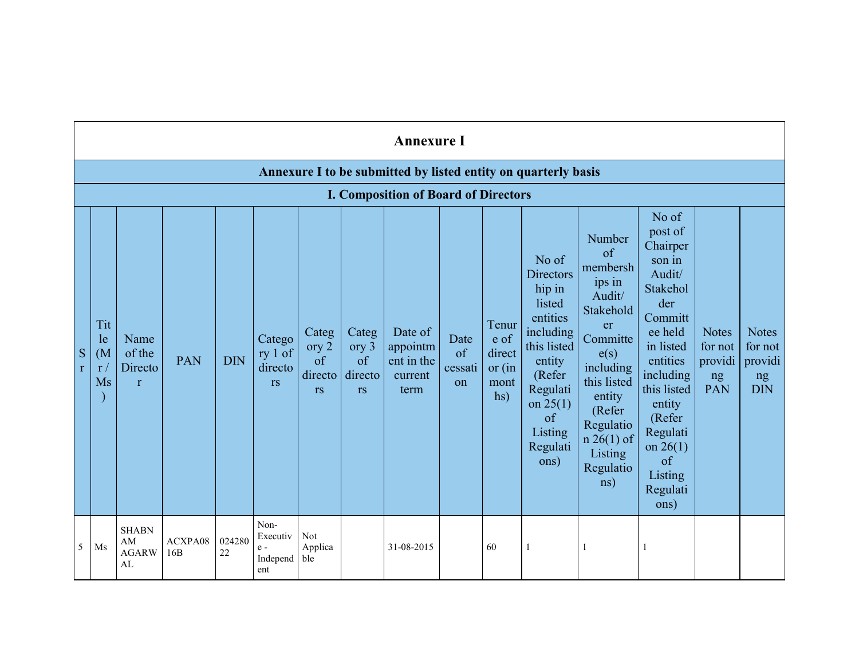|                   | <b>Annexure I</b>                                              |                                           |                |              |                                              |                                              |                                              |                                                      |                             |                                                    |                                                                                                                                                                          |                                                                                                                                                                                                       |                                                                                                                                                                                                                                   |                                                 |                                                        |
|-------------------|----------------------------------------------------------------|-------------------------------------------|----------------|--------------|----------------------------------------------|----------------------------------------------|----------------------------------------------|------------------------------------------------------|-----------------------------|----------------------------------------------------|--------------------------------------------------------------------------------------------------------------------------------------------------------------------------|-------------------------------------------------------------------------------------------------------------------------------------------------------------------------------------------------------|-----------------------------------------------------------------------------------------------------------------------------------------------------------------------------------------------------------------------------------|-------------------------------------------------|--------------------------------------------------------|
|                   | Annexure I to be submitted by listed entity on quarterly basis |                                           |                |              |                                              |                                              |                                              |                                                      |                             |                                                    |                                                                                                                                                                          |                                                                                                                                                                                                       |                                                                                                                                                                                                                                   |                                                 |                                                        |
|                   |                                                                |                                           |                |              |                                              |                                              |                                              | <b>I. Composition of Board of Directors</b>          |                             |                                                    |                                                                                                                                                                          |                                                                                                                                                                                                       |                                                                                                                                                                                                                                   |                                                 |                                                        |
| S<br>$\mathbf{r}$ | Tit<br>le<br>(M <sup>2</sup> )<br>r/<br>Ms                     | Name<br>of the<br>Directo<br>$\mathbf{r}$ | <b>PAN</b>     | <b>DIN</b>   | Catego<br>ry 1 of<br>directo<br><b>rs</b>    | Categ<br>ory 2<br>of<br>directo<br><b>rs</b> | Categ<br>ory 3<br>of<br>directo<br><b>rs</b> | Date of<br>appointm<br>ent in the<br>current<br>term | Date<br>of<br>cessati<br>on | Tenur<br>e of<br>direct<br>or $(in$<br>mont<br>hs) | No of<br><b>Directors</b><br>hip in<br>listed<br>entities<br>including<br>this listed<br>entity<br>(Refer<br>Regulati<br>on $25(1)$<br>of<br>Listing<br>Regulati<br>ons) | Number<br>of<br>membersh<br>ips in<br>Audit/<br>Stakehold<br>er<br>Committe<br>e(s)<br>including<br>this listed<br>entity<br>(Refer<br>Regulatio<br>$n \cdot 26(1)$ of<br>Listing<br>Regulatio<br>ns) | No of<br>post of<br>Chairper<br>son in<br>Audit/<br>Stakehol<br>der<br>Committ<br>ee held<br>in listed<br>entities<br>including<br>this listed<br>entity<br>(Refer<br>Regulati<br>on $26(1)$<br>of<br>Listing<br>Regulati<br>ons) | <b>Notes</b><br>for not<br>providi<br>ng<br>PAN | <b>Notes</b><br>for not<br>providi<br>ng<br><b>DIN</b> |
| 5                 | Ms                                                             | <b>SHABN</b><br>AM<br><b>AGARW</b><br>AL  | ACXPA08<br>16B | 024280<br>22 | Non-<br>Executiv<br>$e -$<br>Independ<br>ent | Not<br>Applica<br>ble                        |                                              | 31-08-2015                                           |                             | 60                                                 |                                                                                                                                                                          | 1                                                                                                                                                                                                     |                                                                                                                                                                                                                                   |                                                 |                                                        |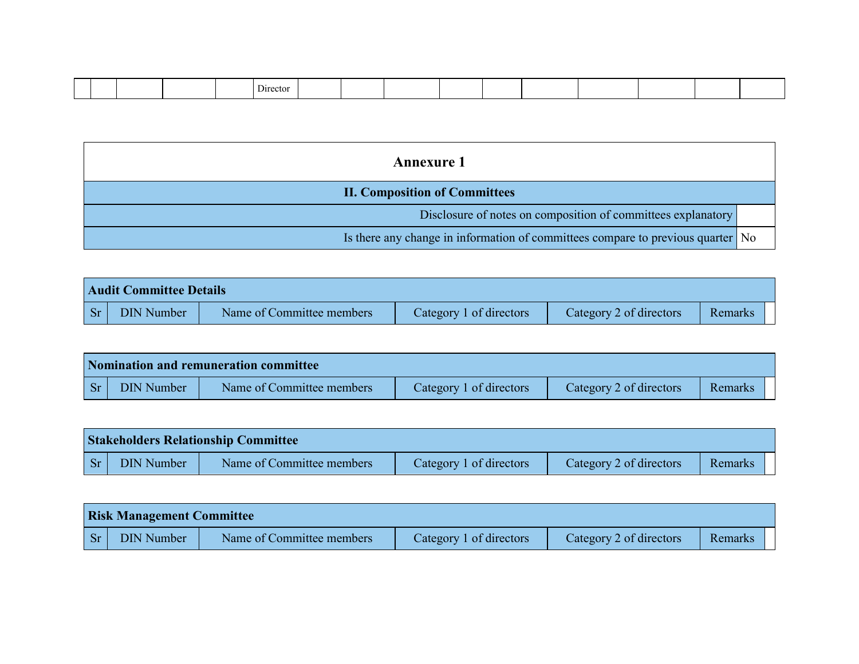|  |  |  |  | Directo |  |  |  |  |  |  |  |  |  |  |
|--|--|--|--|---------|--|--|--|--|--|--|--|--|--|--|
|--|--|--|--|---------|--|--|--|--|--|--|--|--|--|--|

| <b>Annexure 1</b>                                                               |  |
|---------------------------------------------------------------------------------|--|
| <b>II. Composition of Committees</b>                                            |  |
| Disclosure of notes on composition of committees explanatory                    |  |
| Is there any change in information of committees compare to previous quarter No |  |

|           | <b>Audit Committee Details</b> |                           |                         |                         |         |  |  |  |  |  |
|-----------|--------------------------------|---------------------------|-------------------------|-------------------------|---------|--|--|--|--|--|
| $ S_{r} $ | DIN Number                     | Name of Committee members | Category 1 of directors | Category 2 of directors | Remarks |  |  |  |  |  |

|                    | Nomination and remuneration committee |                           |                         |                         |         |  |  |  |  |
|--------------------|---------------------------------------|---------------------------|-------------------------|-------------------------|---------|--|--|--|--|
| $\vert$ Sr $\vert$ | <b>DIN Number</b>                     | Name of Committee members | Category 1 of directors | Category 2 of directors | Remarks |  |  |  |  |

|            | <b>Stakeholders Relationship Committee</b> |                           |                         |                         |         |  |  |  |  |
|------------|--------------------------------------------|---------------------------|-------------------------|-------------------------|---------|--|--|--|--|
| $ $ Sr $ $ | <b>DIN Number</b>                          | Name of Committee members | Category 1 of directors | Category 2 of directors | Remarks |  |  |  |  |

|           | <b>Risk Management Committee</b> |                           |                         |                         |         |  |  |  |  |
|-----------|----------------------------------|---------------------------|-------------------------|-------------------------|---------|--|--|--|--|
| <b>Sr</b> | <b>DIN Number</b>                | Name of Committee members | Category 1 of directors | Category 2 of directors | Remarks |  |  |  |  |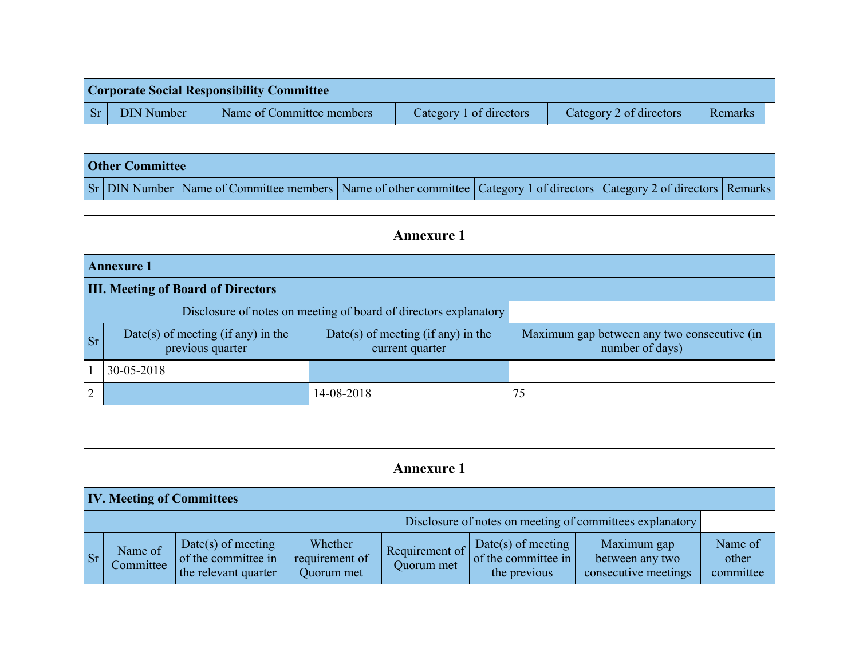|                    | <b>Corporate Social Responsibility Committee</b> |                           |                         |                         |         |  |  |  |  |
|--------------------|--------------------------------------------------|---------------------------|-------------------------|-------------------------|---------|--|--|--|--|
| $\vert$ Sr $\vert$ | <b>DIN Number</b>                                | Name of Committee members | Category 1 of directors | Category 2 of directors | Remarks |  |  |  |  |

| <b>Other Committee</b> |                                                                                                                         |  |  |
|------------------------|-------------------------------------------------------------------------------------------------------------------------|--|--|
|                        | Sr DIN Number Name of Committee members Name of other committee Category 1 of directors Category 2 of directors Remarks |  |  |

|                                                                  | <b>Annexure 1</b>                                      |                                                       |                                                                |  |  |  |  |
|------------------------------------------------------------------|--------------------------------------------------------|-------------------------------------------------------|----------------------------------------------------------------|--|--|--|--|
|                                                                  | <b>Annexure 1</b>                                      |                                                       |                                                                |  |  |  |  |
|                                                                  | <b>III. Meeting of Board of Directors</b>              |                                                       |                                                                |  |  |  |  |
| Disclosure of notes on meeting of board of directors explanatory |                                                        |                                                       |                                                                |  |  |  |  |
| <b>Sr</b>                                                        | Date(s) of meeting (if any) in the<br>previous quarter | Date(s) of meeting (if any) in the<br>current quarter | Maximum gap between any two consecutive (in<br>number of days) |  |  |  |  |
|                                                                  | 30-05-2018                                             |                                                       |                                                                |  |  |  |  |
| $\overline{2}$                                                   |                                                        | 14-08-2018                                            | 75                                                             |  |  |  |  |

|           | <b>Annexure 1</b>                                        |                                                                           |                                         |                              |                                                           |                                                        |                               |
|-----------|----------------------------------------------------------|---------------------------------------------------------------------------|-----------------------------------------|------------------------------|-----------------------------------------------------------|--------------------------------------------------------|-------------------------------|
|           | <b>IV. Meeting of Committees</b>                         |                                                                           |                                         |                              |                                                           |                                                        |                               |
|           | Disclosure of notes on meeting of committees explanatory |                                                                           |                                         |                              |                                                           |                                                        |                               |
| <b>Sr</b> | Name of<br>Committee                                     | Date(s) of meeting $\vert$<br>of the committee in<br>the relevant quarter | Whether<br>requirement of<br>Quorum met | Requirement of<br>Quorum met | Date(s) of meeting<br>of the committee in<br>the previous | Maximum gap<br>between any two<br>consecutive meetings | Name of<br>other<br>committee |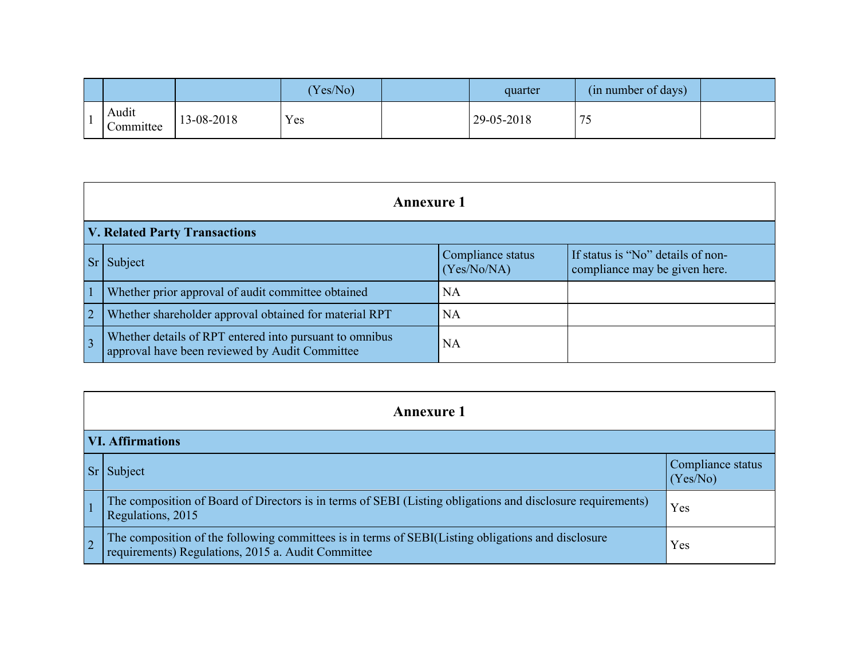|                    |            | Yes/No) | quarter    | (in number of days)             |  |
|--------------------|------------|---------|------------|---------------------------------|--|
| Audit<br>Committee | 13-08-2018 | Yes     | 29-05-2018 | $\overline{\phantom{a}}$<br>ں ا |  |

|                | <b>Annexure 1</b>                                                                                         |                                  |                                                                    |  |  |  |
|----------------|-----------------------------------------------------------------------------------------------------------|----------------------------------|--------------------------------------------------------------------|--|--|--|
|                | <b>V. Related Party Transactions</b>                                                                      |                                  |                                                                    |  |  |  |
|                | Subject                                                                                                   | Compliance status<br>(Yes/No/NA) | If status is "No" details of non-<br>compliance may be given here. |  |  |  |
|                | Whether prior approval of audit committee obtained                                                        | <b>NA</b>                        |                                                                    |  |  |  |
| $\overline{2}$ | Whether shareholder approval obtained for material RPT                                                    | <b>NA</b>                        |                                                                    |  |  |  |
| $\overline{3}$ | Whether details of RPT entered into pursuant to omnibus<br>approval have been reviewed by Audit Committee | <b>NA</b>                        |                                                                    |  |  |  |

|                | <b>Annexure 1</b>                                                                                                                                        |                               |  |  |  |
|----------------|----------------------------------------------------------------------------------------------------------------------------------------------------------|-------------------------------|--|--|--|
|                | <b>VI. Affirmations</b>                                                                                                                                  |                               |  |  |  |
|                | Sr Subject                                                                                                                                               | Compliance status<br>(Yes/No) |  |  |  |
|                | The composition of Board of Directors is in terms of SEBI (Listing obligations and disclosure requirements)<br>Regulations, 2015                         | Yes                           |  |  |  |
| $\overline{2}$ | The composition of the following committees is in terms of SEBI(Listing obligations and disclosure<br>requirements) Regulations, 2015 a. Audit Committee | Yes                           |  |  |  |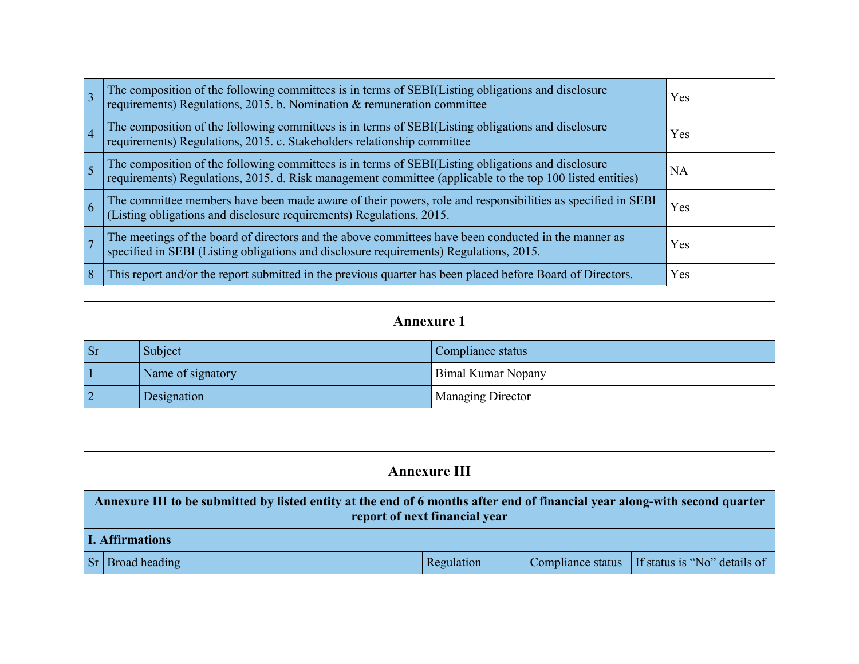|                | The composition of the following committees is in terms of SEBI(Listing obligations and disclosure requirements) Regulations, 2015. b. Nomination & remuneration committee                                   | Yes       |
|----------------|--------------------------------------------------------------------------------------------------------------------------------------------------------------------------------------------------------------|-----------|
| $\overline{4}$ | The composition of the following committees is in terms of SEBI(Listing obligations and disclosure requirements) Regulations, 2015. c. Stakeholders relationship committee                                   | Yes       |
|                | The composition of the following committees is in terms of SEBI(Listing obligations and disclosure requirements) Regulations, 2015. d. Risk management committee (applicable to the top 100 listed entities) | <b>NA</b> |
| 6              | The committee members have been made aware of their powers, role and responsibilities as specified in SEBI (Listing obligations and disclosure requirements) Regulations, 2015.                              | Yes       |
|                | The meetings of the board of directors and the above committees have been conducted in the manner as specified in SEBI (Listing obligations and disclosure requirements) Regulations, 2015.                  | Yes       |
| 8              | This report and/or the report submitted in the previous quarter has been placed before Board of Directors.                                                                                                   | Yes       |

|                | <b>Annexure 1</b> |                           |  |  |
|----------------|-------------------|---------------------------|--|--|
| <b>Sr</b>      | Subject           | Compliance status         |  |  |
|                | Name of signatory | <b>Bimal Kumar Nopany</b> |  |  |
| $\overline{2}$ | Designation       | <b>Managing Director</b>  |  |  |

| <b>Annexure III</b>                                                                                                                                         |            |  |                                                  |  |  |
|-------------------------------------------------------------------------------------------------------------------------------------------------------------|------------|--|--------------------------------------------------|--|--|
| Annexure III to be submitted by listed entity at the end of 6 months after end of financial year along-with second quarter<br>report of next financial year |            |  |                                                  |  |  |
| <b>I. Affirmations</b>                                                                                                                                      |            |  |                                                  |  |  |
| Sr Broad heading                                                                                                                                            | Regulation |  | Compliance status   If status is "No" details of |  |  |